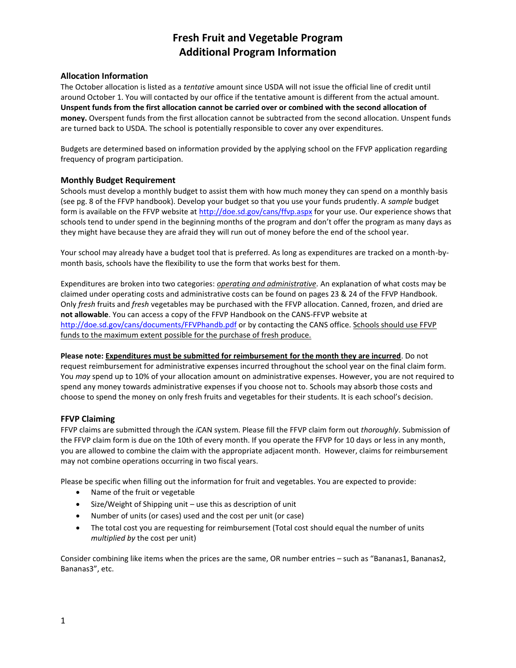# **Fresh Fruit and Vegetable Program Additional Program Information**

## **Allocation Information**

The October allocation is listed as a *tentative* amount since USDA will not issue the official line of credit until around October 1. You will contacted by our office if the tentative amount is different from the actual amount. **Unspent funds from the first allocation cannot be carried over or combined with the second allocation of money.** Overspent funds from the first allocation cannot be subtracted from the second allocation. Unspent funds are turned back to USDA. The school is potentially responsible to cover any over expenditures.

Budgets are determined based on information provided by the applying school on the FFVP application regarding frequency of program participation.

### **Monthly Budget Requirement**

Schools must develop a monthly budget to assist them with how much money they can spend on a monthly basis (see pg. 8 of the FFVP handbook). Develop your budget so that you use your funds prudently. A *sample* budget form is available on the FFVP website at<http://doe.sd.gov/cans/ffvp.aspx> for your use. Our experience shows that schools tend to under spend in the beginning months of the program and don't offer the program as many days as they might have because they are afraid they will run out of money before the end of the school year.

Your school may already have a budget tool that is preferred. As long as expenditures are tracked on a month-bymonth basis, schools have the flexibility to use the form that works best for them.

Expenditures are broken into two categories: *operating and administrative.* An explanation of what costs may be claimed under operating costs and administrative costs can be found on pages 23 & 24 of the FFVP Handbook. Only *fresh* fruits and *fresh* vegetables may be purchased with the FFVP allocation. Canned, frozen, and dried are **not allowable**. You can access a copy of the FFVP Handbook on the CANS-FFVP website at <http://doe.sd.gov/cans/documents/FFVPhandb.pdf> or by contacting the CANS office. Schools should use FFVP funds to the maximum extent possible for the purchase of fresh produce.

**Please note: Expenditures must be submitted for reimbursement for the month they are incurred**. Do not request reimbursement for administrative expenses incurred throughout the school year on the final claim form. You *may* spend up to 10% of your allocation amount on administrative expenses. However, you are not required to spend any money towards administrative expenses if you choose not to. Schools may absorb those costs and choose to spend the money on only fresh fruits and vegetables for their students. It is each school's decision.

#### **FFVP Claiming**

FFVP claims are submitted through the *i*CAN system. Please fill the FFVP claim form out *thoroughly*. Submission of the FFVP claim form is due on the 10th of every month. If you operate the FFVP for 10 days or less in any month, you are allowed to combine the claim with the appropriate adjacent month. However, claims for reimbursement may not combine operations occurring in two fiscal years.

Please be specific when filling out the information for fruit and vegetables. You are expected to provide:

- Name of the fruit or vegetable
- Size/Weight of Shipping unit use this as description of unit
- Number of units (or cases) used and the cost per unit (or case)
- The total cost you are requesting for reimbursement (Total cost should equal the number of units *multiplied by* the cost per unit)

Consider combining like items when the prices are the same, OR number entries – such as "Bananas1, Bananas2, Bananas3", etc.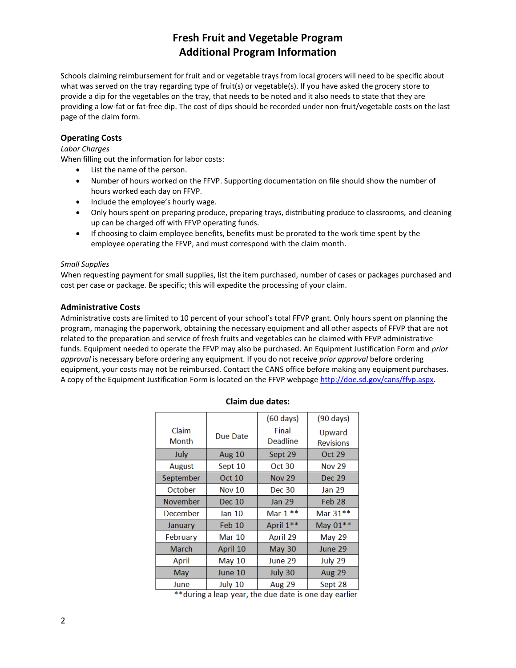# **Fresh Fruit and Vegetable Program Additional Program Information**

Schools claiming reimbursement for fruit and or vegetable trays from local grocers will need to be specific about what was served on the tray regarding type of fruit(s) or vegetable(s). If you have asked the grocery store to provide a dip for the vegetables on the tray, that needs to be noted and it also needs to state that they are providing a low-fat or fat-free dip. The cost of dips should be recorded under non-fruit/vegetable costs on the last page of the claim form.

## **Operating Costs**

#### *Labor Charges*

When filling out the information for labor costs:

- List the name of the person.
- Number of hours worked on the FFVP. Supporting documentation on file should show the number of hours worked each day on FFVP.
- Include the employee's hourly wage.
- Only hours spent on preparing produce, preparing trays, distributing produce to classrooms, and cleaning up can be charged off with FFVP operating funds.
- If choosing to claim employee benefits, benefits must be prorated to the work time spent by the employee operating the FFVP, and must correspond with the claim month.

#### *Small Supplies*

When requesting payment for small supplies, list the item purchased, number of cases or packages purchased and cost per case or package. Be specific; this will expedite the processing of your claim.

#### **Administrative Costs**

Administrative costs are limited to 10 percent of your school's total FFVP grant. Only hours spent on planning the program, managing the paperwork, obtaining the necessary equipment and all other aspects of FFVP that are not related to the preparation and service of fresh fruits and vegetables can be claimed with FFVP administrative funds. Equipment needed to operate the FFVP may also be purchased. An Equipment Justification Form and *prior approval* is necessary before ordering any equipment. If you do not receive *prior approval* before ordering equipment, your costs may not be reimbursed. Contact the CANS office before making any equipment purchases. A copy of the Equipment Justification Form is located on the FFVP webpage [http://doe.sd.gov/cans/ffvp.aspx.](http://doe.sd.gov/cans/ffvp.aspx)

|                 |               | $(60 \text{ days})$ | $(90 \text{ days})$        |
|-----------------|---------------|---------------------|----------------------------|
| Claim<br>Month  | Due Date      | Final<br>Deadline   | Upward<br><b>Revisions</b> |
| July            | <b>Aug 10</b> | Sept 29             | Oct 29                     |
| <b>August</b>   | Sept 10       | Oct 30              | <b>Nov 29</b>              |
| September       | Oct 10        | <b>Nov 29</b>       | Dec 29                     |
| October         | <b>Nov 10</b> | <b>Dec 30</b>       | <b>Jan 29</b>              |
| <b>November</b> | Dec 10        | <b>Jan 29</b>       | Feb <sub>28</sub>          |
| December        | Jan 10        | Mar $1**$           | Mar 31**                   |
| January         | Feb 10        | April 1**           | May 01 **                  |
| February        | <b>Mar 10</b> | April 29            | May 29                     |
| March           | April 10      | May 30              | June 29                    |
| April           | May $10$      | June 29             | July 29                    |
| May             | June 10       | July 30             | Aug 29                     |
| June            | July 10       | <b>Aug 29</b>       | Sept 28                    |

#### **Claim due dates:**

\*\* during a leap year, the due date is one day earlier